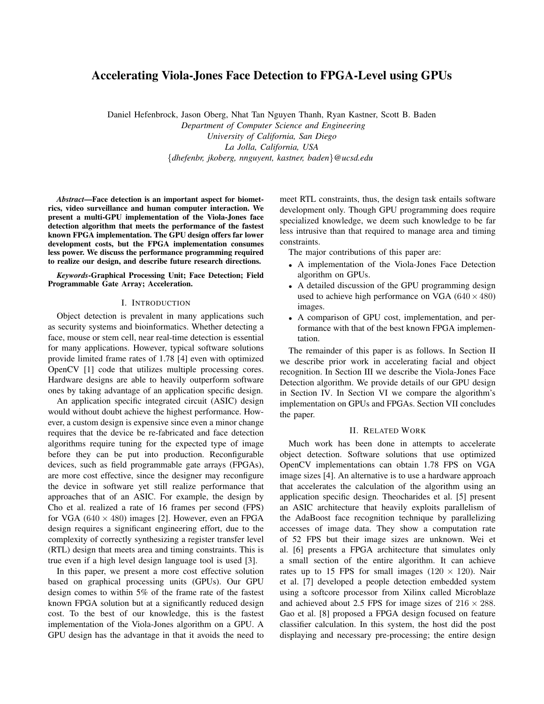# Accelerating Viola-Jones Face Detection to FPGA-Level using GPUs

Daniel Hefenbrock, Jason Oberg, Nhat Tan Nguyen Thanh, Ryan Kastner, Scott B. Baden *Department of Computer Science and Engineering University of California, San Diego La Jolla, California, USA* {*dhefenbr, jkoberg, nnguyent, kastner, baden*}*@ucsd.edu*

*Abstract*—Face detection is an important aspect for biometrics, video surveillance and human computer interaction. We present a multi-GPU implementation of the Viola-Jones face detection algorithm that meets the performance of the fastest known FPGA implementation. The GPU design offers far lower development costs, but the FPGA implementation consumes less power. We discuss the performance programming required to realize our design, and describe future research directions.

*Keywords*-Graphical Processing Unit; Face Detection; Field Programmable Gate Array; Acceleration.

# I. INTRODUCTION

Object detection is prevalent in many applications such as security systems and bioinformatics. Whether detecting a face, mouse or stem cell, near real-time detection is essential for many applications. However, typical software solutions provide limited frame rates of 1.78 [4] even with optimized OpenCV [1] code that utilizes multiple processing cores. Hardware designs are able to heavily outperform software ones by taking advantage of an application specific design.

An application specific integrated circuit (ASIC) design would without doubt achieve the highest performance. However, a custom design is expensive since even a minor change requires that the device be re-fabricated and face detection algorithms require tuning for the expected type of image before they can be put into production. Reconfigurable devices, such as field programmable gate arrays (FPGAs), are more cost effective, since the designer may reconfigure the device in software yet still realize performance that approaches that of an ASIC. For example, the design by Cho et al. realized a rate of 16 frames per second (FPS) for VGA (640  $\times$  480) images [2]. However, even an FPGA design requires a significant engineering effort, due to the complexity of correctly synthesizing a register transfer level (RTL) design that meets area and timing constraints. This is true even if a high level design language tool is used [3].

In this paper, we present a more cost effective solution based on graphical processing units (GPUs). Our GPU design comes to within 5% of the frame rate of the fastest known FPGA solution but at a significantly reduced design cost. To the best of our knowledge, this is the fastest implementation of the Viola-Jones algorithm on a GPU. A GPU design has the advantage in that it avoids the need to meet RTL constraints, thus, the design task entails software development only. Though GPU programming does require specialized knowledge, we deem such knowledge to be far less intrusive than that required to manage area and timing constraints.

The major contributions of this paper are:

- A implementation of the Viola-Jones Face Detection algorithm on GPUs.
- A detailed discussion of the GPU programming design used to achieve high performance on VGA  $(640 \times 480)$ images.
- A comparison of GPU cost, implementation, and performance with that of the best known FPGA implementation.

The remainder of this paper is as follows. In Section II we describe prior work in accelerating facial and object recognition. In Section III we describe the Viola-Jones Face Detection algorithm. We provide details of our GPU design in Section IV. In Section VI we compare the algorithm's implementation on GPUs and FPGAs. Section VII concludes the paper.

#### II. RELATED WORK

Much work has been done in attempts to accelerate object detection. Software solutions that use optimized OpenCV implementations can obtain 1.78 FPS on VGA image sizes [4]. An alternative is to use a hardware approach that accelerates the calculation of the algorithm using an application specific design. Theocharides et al. [5] present an ASIC architecture that heavily exploits parallelism of the AdaBoost face recognition technique by parallelizing accesses of image data. They show a computation rate of 52 FPS but their image sizes are unknown. Wei et al. [6] presents a FPGA architecture that simulates only a small section of the entire algorithm. It can achieve rates up to 15 FPS for small images  $(120 \times 120)$ . Nair et al. [7] developed a people detection embedded system using a softcore processor from Xilinx called Microblaze and achieved about 2.5 FPS for image sizes of  $216 \times 288$ . Gao et al. [8] proposed a FPGA design focused on feature classifier calculation. In this system, the host did the post displaying and necessary pre-processing; the entire design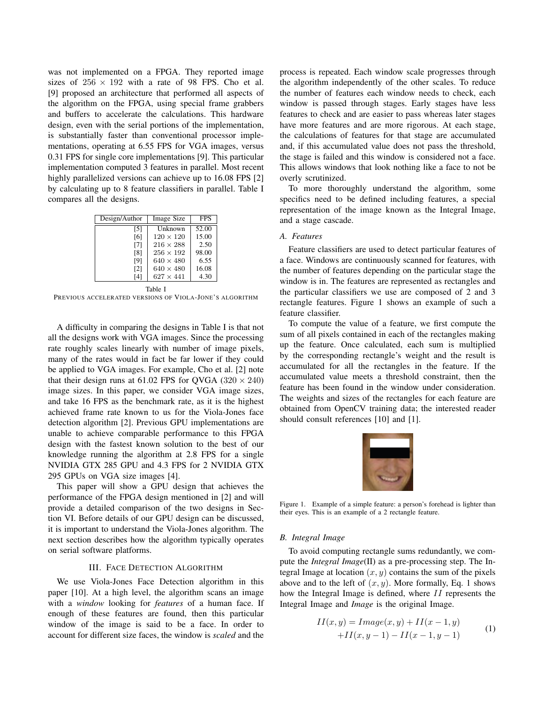was not implemented on a FPGA. They reported image sizes of  $256 \times 192$  with a rate of 98 FPS. Cho et al. [9] proposed an architecture that performed all aspects of the algorithm on the FPGA, using special frame grabbers and buffers to accelerate the calculations. This hardware design, even with the serial portions of the implementation, is substantially faster than conventional processor implementations, operating at 6.55 FPS for VGA images, versus 0.31 FPS for single core implementations [9]. This particular implementation computed 3 features in parallel. Most recent highly parallelized versions can achieve up to 16.08 FPS [2] by calculating up to 8 feature classifiers in parallel. Table I compares all the designs.

| Design/Author     | Image Size       | <b>FPS</b> |
|-------------------|------------------|------------|
| [5]               | Unknown          | 52.00      |
| [6]               | $120 \times 120$ | 15.00      |
| [7]               | $216 \times 288$ | 2.50       |
| [8]               | $256 \times 192$ | 98.00      |
| [9]               | $640 \times 480$ | 6.55       |
| $\lceil 2 \rceil$ | $640 \times 480$ | 16.08      |
| [4]               | $627 \times 441$ | 4.30       |

Table I

PREVIOUS ACCELERATED VERSIONS OF VIOLA-JONE'S ALGORITHM

A difficulty in comparing the designs in Table I is that not all the designs work with VGA images. Since the processing rate roughly scales linearly with number of image pixels, many of the rates would in fact be far lower if they could be applied to VGA images. For example, Cho et al. [2] note that their design runs at 61.02 FPS for QVGA  $(320 \times 240)$ image sizes. In this paper, we consider VGA image sizes, and take 16 FPS as the benchmark rate, as it is the highest achieved frame rate known to us for the Viola-Jones face detection algorithm [2]. Previous GPU implementations are unable to achieve comparable performance to this FPGA design with the fastest known solution to the best of our knowledge running the algorithm at 2.8 FPS for a single NVIDIA GTX 285 GPU and 4.3 FPS for 2 NVIDIA GTX 295 GPUs on VGA size images [4].

This paper will show a GPU design that achieves the performance of the FPGA design mentioned in [2] and will provide a detailed comparison of the two designs in Section VI. Before details of our GPU design can be discussed, it is important to understand the Viola-Jones algorithm. The next section describes how the algorithm typically operates on serial software platforms.

# III. FACE DETECTION ALGORITHM

We use Viola-Jones Face Detection algorithm in this paper [10]. At a high level, the algorithm scans an image with a *window* looking for *features* of a human face. If enough of these features are found, then this particular window of the image is said to be a face. In order to account for different size faces, the window is *scaled* and the process is repeated. Each window scale progresses through the algorithm independently of the other scales. To reduce the number of features each window needs to check, each window is passed through stages. Early stages have less features to check and are easier to pass whereas later stages have more features and are more rigorous. At each stage, the calculations of features for that stage are accumulated and, if this accumulated value does not pass the threshold, the stage is failed and this window is considered not a face. This allows windows that look nothing like a face to not be overly scrutinized.

To more thoroughly understand the algorithm, some specifics need to be defined including features, a special representation of the image known as the Integral Image, and a stage cascade.

# *A. Features*

Feature classifiers are used to detect particular features of a face. Windows are continuously scanned for features, with the number of features depending on the particular stage the window is in. The features are represented as rectangles and the particular classifiers we use are composed of 2 and 3 rectangle features. Figure 1 shows an example of such a feature classifier.

To compute the value of a feature, we first compute the sum of all pixels contained in each of the rectangles making up the feature. Once calculated, each sum is multiplied by the corresponding rectangle's weight and the result is accumulated for all the rectangles in the feature. If the accumulated value meets a threshold constraint, then the feature has been found in the window under consideration. The weights and sizes of the rectangles for each feature are obtained from OpenCV training data; the interested reader should consult references [10] and [1].



Figure 1. Example of a simple feature: a person's forehead is lighter than their eyes. This is an example of a 2 rectangle feature.

## *B. Integral Image*

To avoid computing rectangle sums redundantly, we compute the *Integral Image*(II) as a pre-processing step. The Integral Image at location  $(x, y)$  contains the sum of the pixels above and to the left of  $(x, y)$ . More formally, Eq. 1 shows how the Integral Image is defined, where *II* represents the Integral Image and *Image* is the original Image.

$$
II(x,y) = Image(x,y) + II(x-1,y)
$$
  
+
$$
II(x,y-1) - II(x-1,y-1)
$$
 (1)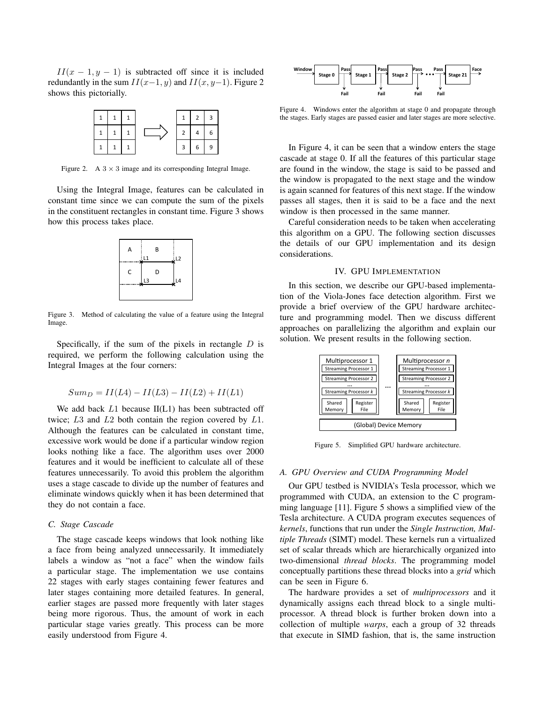$II(x - 1, y - 1)$  is subtracted off since it is included redundantly in the sum  $II(x-1, y)$  and  $II(x, y-1)$ . Figure 2 shows this pictorially.



Figure 2. A  $3 \times 3$  image and its corresponding Integral Image.

Using the Integral Image, features can be calculated in constant time since we can compute the sum of the pixels in the constituent rectangles in constant time. Figure 3 shows how this process takes place.



Figure 3. Method of calculating the value of a feature using the Integral Image.

Specifically, if the sum of the pixels in rectangle *D* is required, we perform the following calculation using the Integral Images at the four corners:

$$
Sum_D = II(L4) - II(L3) - II(L2) + II(L1)
$$

We add back *L*1 because II(L1) has been subtracted off twice; *L*3 and *L*2 both contain the region covered by *L*1. Although the features can be calculated in constant time, excessive work would be done if a particular window region looks nothing like a face. The algorithm uses over 2000 features and it would be inefficient to calculate all of these features unnecessarily. To avoid this problem the algorithm uses a stage cascade to divide up the number of features and eliminate windows quickly when it has been determined that they do not contain a face.

# *C. Stage Cascade*

The stage cascade keeps windows that look nothing like a face from being analyzed unnecessarily. It immediately labels a window as "not a face" when the window fails a particular stage. The implementation we use contains 22 stages with early stages containing fewer features and later stages containing more detailed features. In general, earlier stages are passed more frequently with later stages being more rigorous. Thus, the amount of work in each particular stage varies greatly. This process can be more easily understood from Figure 4.



Figure 4. Windows enter the algorithm at stage 0 and propagate through the stages. Early stages are passed easier and later stages are more selective.

In Figure 4, it can be seen that a window enters the stage cascade at stage 0. If all the features of this particular stage are found in the window, the stage is said to be passed and the window is propagated to the next stage and the window is again scanned for features of this next stage. If the window passes all stages, then it is said to be a face and the next window is then processed in the same manner.

 $\frac{1}{2}$ considerations. the details of our GPU implementation and its design Careful consideration needs to be taken when accelerating this algorithm on a GPU. The following section discusses

# IV. GPU IMPLEMENTATION

tion of the Viola-Jones face detection algorithm. First we In this section, we describe our GPU-based implementaprovide a brief overview of the GPU hardware architecture and programming model. Then we discuss different approaches on parallelizing the algorithm and explain our solution. We present results in the following section.



Figure 5. Simplified GPU hardware architecture.

#### *A. GPU Overview and CUDA Programming Model*

Our GPU testbed is NVIDIA's Tesla processor, which we programmed with CUDA, an extension to the C programming language [11]. Figure 5 shows a simplified view of the Tesla architecture. A CUDA program executes sequences of *kernels*, functions that run under the *Single Instruction, Multiple Threads* (SIMT) model. These kernels run a virtualized set of scalar threads which are hierarchically organized into two-dimensional *thread blocks*. The programming model conceptually partitions these thread blocks into a *grid* which can be seen in Figure 6.

The hardware provides a set of *multiprocessors* and it dynamically assigns each thread block to a single multiprocessor. A thread block is further broken down into a collection of multiple *warps*, each a group of 32 threads that execute in SIMD fashion, that is, the same instruction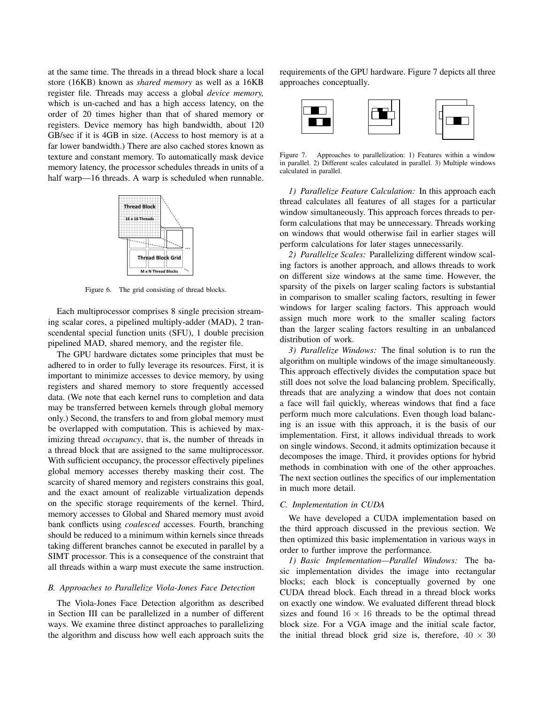at the same time. The threads in a thread block share a local store (16KB) known as *shared memory* as well as a 16KB register file. Threads may access a global *device memory,* which is un-cached and has a high access latency, on the order of 20 times higher than that of shared memory or registers. Device memory has high bandwidth, about 120 GB/sec if it is 4GB in size. (Access to host memory is at a far lower bandwidth.) There are also cached stores known as texture and constant memory. To automatically mask device memory latency, the processor schedules threads in units of a half warp—16 threads. A warp is scheduled when runnable.



Figure 6. The grid consisting of thread blocks.

Each multiprocessor comprises 8 single precision streaming scalar cores, a pipelined multiply-adder (MAD), 2 transcendental special function units (SFU), 1 double precision pipelined MAD, shared memory, and the register file.

The GPU hardware dictates some principles that must be adhered to in order to fully leverage its resources. First, it is important to minimize accesses to device memory, by using registers and shared memory to store frequently accessed data. (We note that each kernel runs to completion and data may be transferred between kernels through global memory only.) Second, the transfers to and from global memory must be overlapped with computation. This is achieved by maximizing thread *occupancy*, that is, the number of threads in a thread block that are assigned to the same multiprocessor. With sufficient occupancy, the processor effectively pipelines global memory accesses thereby masking their cost. The scarcity of shared memory and registers constrains this goal, and the exact amount of realizable virtualization depends on the specific storage requirements of the kernel. Third, memory accesses to Global and Shared memory must avoid bank conflicts using *coalesced* accesses. Fourth, branching should be reduced to a minimum within kernels since threads taking different branches cannot be executed in parallel by a SIMT processor. This is a consequence of the constraint that all threads within a warp must execute the same instruction.

# *B. Approaches to Parallelize Viola-Jones Face Detection*

The Viola-Jones Face Detection algorithm as described in Section III can be parallelized in a number of different ways. We examine three distinct approaches to parallelizing the algorithm and discuss how well each approach suits the requirements of the GPU hardware. Figure 7 depicts all three approaches conceptually.



Figure 7. Approaches to parallelization: 1) Features within a window in parallel. 2) Different scales calculated in parallel. 3) Multiple windows calculated in parallel.

*1) Parallelize Feature Calculation:* In this approach each thread calculates all features of all stages for a particular window simultaneously. This approach forces threads to perform calculations that may be unnecessary. Threads working on windows that would otherwise fail in earlier stages will perform calculations for later stages unnecessarily.

*2) Parallelize Scales:* Parallelizing different window scaling factors is another approach, and allows threads to work on different size windows at the same time. However, the sparsity of the pixels on larger scaling factors is substantial in comparison to smaller scaling factors, resulting in fewer windows for larger scaling factors. This approach would assign much more work to the smaller scaling factors than the larger scaling factors resulting in an unbalanced distribution of work.

*3) Parallelize Windows:* The final solution is to run the algorithm on multiple windows of the image simultaneously. This approach effectively divides the computation space but still does not solve the load balancing problem. Specifically, threads that are analyzing a window that does not contain a face will fail quickly, whereas windows that find a face perform much more calculations. Even though load balancing is an issue with this approach, it is the basis of our implementation. First, it allows individual threads to work on single windows. Second, it admits optimization because it decomposes the image. Third, it provides options for hybrid methods in combination with one of the other approaches. The next section outlines the specifics of our implementation in much more detail.

## *C. Implementation in CUDA*

We have developed a CUDA implementation based on the third approach discussed in the previous section. We then optimized this basic implementation in various ways in order to further improve the performance.

*1) Basic Implementation—Parallel Windows:* The basic implementation divides the image into rectangular blocks; each block is conceptually governed by one CUDA thread block. Each thread in a thread block works on exactly one window. We evaluated different thread block sizes and found  $16 \times 16$  threads to be the optimal thread block size. For a VGA image and the initial scale factor, the initial thread block grid size is, therefore,  $40 \times 30$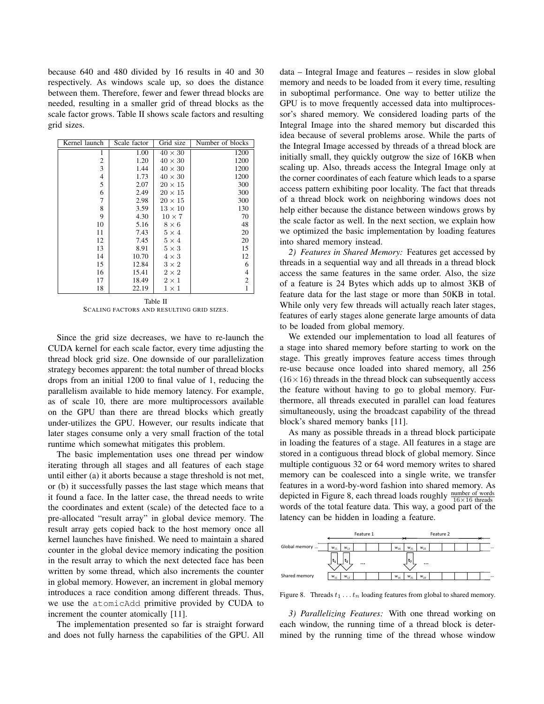because 640 and 480 divided by 16 results in 40 and 30 respectively. As windows scale up, so does the distance between them. Therefore, fewer and fewer thread blocks are needed, resulting in a smaller grid of thread blocks as the scale factor grows. Table II shows scale factors and resulting grid sizes.

| Kernel launch | Scale factor | Grid size      | Number of blocks |
|---------------|--------------|----------------|------------------|
| 1             | 1.00         | $40 \times 30$ | 1200             |
| $\mathbf{2}$  | 1.20         | $40 \times 30$ | 1200             |
| 3             | 1.44         | $40 \times 30$ | 1200             |
| 4             | 1.73         | $40 \times 30$ | 1200             |
| 5             | 2.07         | $20 \times 15$ | 300              |
| 6             | 2.49         | $20 \times 15$ | 300              |
| 7             | 2.98         | $20 \times 15$ | 300              |
| 8             | 3.59         | $13 \times 10$ | 130              |
| 9             | 4.30         | $10 \times 7$  | 70               |
| 10            | 5.16         | $8 \times 6$   | 48               |
| 11            | 7.43         | $5 \times 4$   | 20               |
| 12            | 7.45         | $5 \times 4$   | 20               |
| 13            | 8.91         | $5 \times 3$   | 15               |
| 14            | 10.70        | $4 \times 3$   | 12               |
| 15            | 12.84        | $3\times 2$    | 6                |
| 16            | 15.41        | $2\times 2$    | 4                |
| 17            | 18.49        | $2\times1$     | $\overline{c}$   |
| 18            | 22.19        | $1 \times 1$   | 1                |

Table II SCALING FACTORS AND RESULTING GRID SIZES.

Since the grid size decreases, we have to re-launch the CUDA kernel for each scale factor, every time adjusting the thread block grid size. One downside of our parallelization strategy becomes apparent: the total number of thread blocks drops from an initial 1200 to final value of 1, reducing the parallelism available to hide memory latency. For example, as of scale 10, there are more multiprocessors available on the GPU than there are thread blocks which greatly under-utilizes the GPU. However, our results indicate that later stages consume only a very small fraction of the total runtime which somewhat mitigates this problem.

The basic implementation uses one thread per window iterating through all stages and all features of each stage until either (a) it aborts because a stage threshold is not met, or (b) it successfully passes the last stage which means that it found a face. In the latter case, the thread needs to write the coordinates and extent (scale) of the detected face to a pre-allocated "result array" in global device memory. The result array gets copied back to the host memory once all kernel launches have finished. We need to maintain a shared counter in the global device memory indicating the position in the result array to which the next detected face has been written by some thread, which also increments the counter in global memory. However, an increment in global memory introduces a race condition among different threads. Thus, we use the atomicAdd primitive provided by CUDA to increment the counter atomically [11].

The implementation presented so far is straight forward and does not fully harness the capabilities of the GPU. All data – Integral Image and features – resides in slow global memory and needs to be loaded from it every time, resulting in suboptimal performance. One way to better utilize the GPU is to move frequently accessed data into multiprocessor's shared memory. We considered loading parts of the Integral Image into the shared memory but discarded this idea because of several problems arose. While the parts of the Integral Image accessed by threads of a thread block are initially small, they quickly outgrow the size of 16KB when scaling up. Also, threads access the Integral Image only at the corner coordinates of each feature which leads to a sparse access pattern exhibiting poor locality. The fact that threads of a thread block work on neighboring windows does not help either because the distance between windows grows by the scale factor as well. In the next section, we explain how we optimized the basic implementation by loading features into shared memory instead.

*2) Features in Shared Memory:* Features get accessed by threads in a sequential way and all threads in a thread block access the same features in the same order. Also, the size of a feature is 24 Bytes which adds up to almost 3KB of feature data for the last stage or more than 50KB in total. While only very few threads will actually reach later stages, features of early stages alone generate large amounts of data to be loaded from global memory.

We extended our implementation to load all features of a stage into shared memory before starting to work on the stage. This greatly improves feature access times through re-use because once loaded into shared memory, all 256  $(16\times16)$  threads in the thread block can subsequently access the feature without having to go to global memory. Furthermore, all threads executed in parallel can load features simultaneously, using the broadcast capability of the thread block's shared memory banks [11].

As many as possible threads in a thread block participate in loading the features of a stage. All features in a stage are stored in a contiguous thread block of global memory. Since multiple contiguous 32 or 64 word memory writes to shared memory can be coalesced into a single write, we transfer features in a word-by-word fashion into shared memory. As depicted in Figure 8, each thread loads roughly  $\frac{\text{number of words}}{16 \times 16 \text{ threads}}$ words of the total feature data. This way, a good part of the latency can be hidden in loading a feature.



Figure 8. Threads  $t_1 \ldots t_n$  loading features from global to shared memory.

*3) Parallelizing Features:* With one thread working on each window, the running time of a thread block is determined by the running time of the thread whose window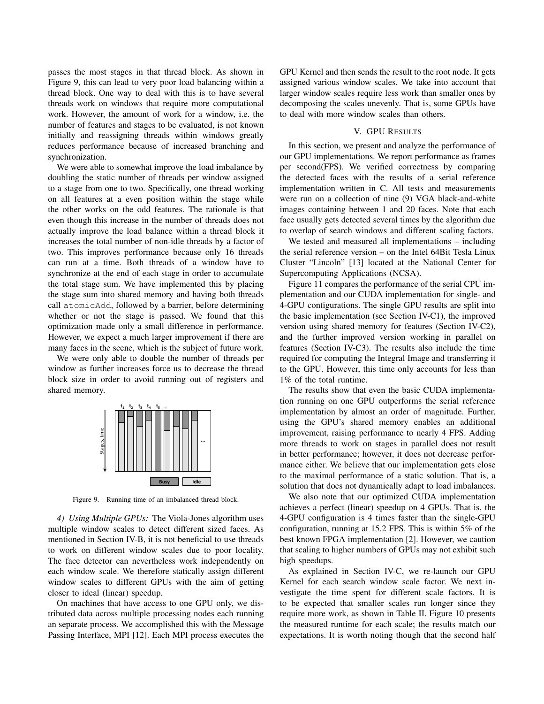passes the most stages in that thread block. As shown in Figure 9, this can lead to very poor load balancing within a thread block. One way to deal with this is to have several threads work on windows that require more computational work. However, the amount of work for a window, i.e. the number of features and stages to be evaluated, is not known initially and reassigning threads within windows greatly reduces performance because of increased branching and synchronization.

We were able to somewhat improve the load imbalance by doubling the static number of threads per window assigned to a stage from one to two. Specifically, one thread working on all features at a even position within the stage while the other works on the odd features. The rationale is that even though this increase in the number of threads does not actually improve the load balance within a thread block it increases the total number of non-idle threads by a factor of two. This improves performance because only 16 threads can run at a time. Both threads of a window have to synchronize at the end of each stage in order to accumulate the total stage sum. We have implemented this by placing the stage sum into shared memory and having both threads call atomicAdd, followed by a barrier, before determining whether or not the stage is passed. We found that this optimization made only a small difference in performance. However, we expect a much larger improvement if there are many faces in the scene, which is the subject of future work.

We were only able to double the number of threads per window as further increases force us to decrease the thread block size in order to avoid running out of registers and shared memory.



Figure 9. Running time of an imbalanced thread block.

*4) Using Multiple GPUs:* The Viola-Jones algorithm uses multiple window scales to detect different sized faces. As mentioned in Section IV-B, it is not beneficial to use threads to work on different window scales due to poor locality. The face detector can nevertheless work independently on each window scale. We therefore statically assign different window scales to different GPUs with the aim of getting closer to ideal (linear) speedup.

On machines that have access to one GPU only, we distributed data across multiple processing nodes each running an separate process. We accomplished this with the Message Passing Interface, MPI [12]. Each MPI process executes the GPU Kernel and then sends the result to the root node. It gets assigned various window scales. We take into account that larger window scales require less work than smaller ones by decomposing the scales unevenly. That is, some GPUs have to deal with more window scales than others.

## V. GPU RESULTS

In this section, we present and analyze the performance of our GPU implementations. We report performance as frames per second(FPS). We verified correctness by comparing the detected faces with the results of a serial reference implementation written in C. All tests and measurements were run on a collection of nine (9) VGA black-and-white images containing between 1 and 20 faces. Note that each face usually gets detected several times by the algorithm due to overlap of search windows and different scaling factors.

We tested and measured all implementations – including the serial reference version – on the Intel 64Bit Tesla Linux Cluster "Lincoln" [13] located at the National Center for Supercomputing Applications (NCSA).

Figure 11 compares the performance of the serial CPU implementation and our CUDA implementation for single- and 4-GPU configurations. The single GPU results are split into the basic implementation (see Section IV-C1), the improved version using shared memory for features (Section IV-C2), and the further improved version working in parallel on features (Section IV-C3). The results also include the time required for computing the Integral Image and transferring it to the GPU. However, this time only accounts for less than 1% of the total runtime.

The results show that even the basic CUDA implementation running on one GPU outperforms the serial reference implementation by almost an order of magnitude. Further, using the GPU's shared memory enables an additional improvement, raising performance to nearly 4 FPS. Adding more threads to work on stages in parallel does not result in better performance; however, it does not decrease performance either. We believe that our implementation gets close to the maximal performance of a static solution. That is, a solution that does not dynamically adapt to load imbalances.

We also note that our optimized CUDA implementation achieves a perfect (linear) speedup on 4 GPUs. That is, the 4-GPU configuration is 4 times faster than the single-GPU configuration, running at 15.2 FPS. This is within 5% of the best known FPGA implementation [2]. However, we caution that scaling to higher numbers of GPUs may not exhibit such high speedups.

As explained in Section IV-C, we re-launch our GPU Kernel for each search window scale factor. We next investigate the time spent for different scale factors. It is to be expected that smaller scales run longer since they require more work, as shown in Table II. Figure 10 presents the measured runtime for each scale; the results match our expectations. It is worth noting though that the second half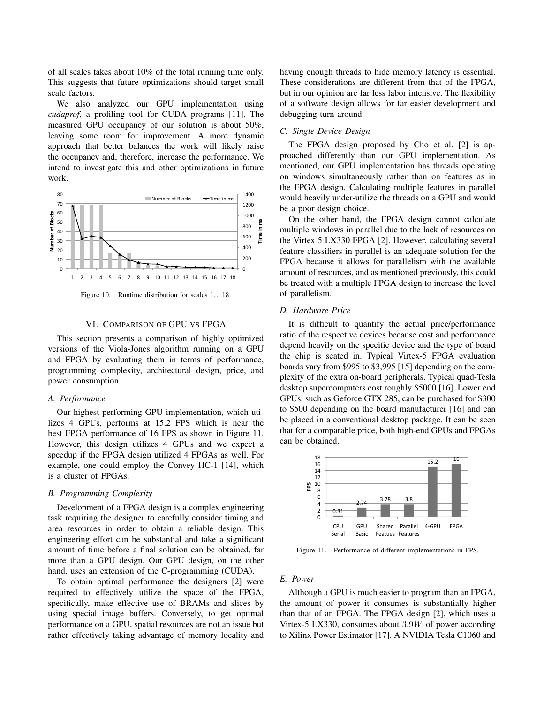of all scales takes about 10% of the total running time only. This suggests that future optimizations should target small scale factors.

We also analyzed our GPU implementation using *cudaprof*, a profiling tool for CUDA programs [11]. The measured GPU occupancy of our solution is about 50%, leaving some room for improvement. A more dynamic approach that better balances the work will likely raise the occupancy and, therefore, increase the performance. We intend to investigate this and other optimizations in future work.



Figure 10. Runtime distribution for scales 1...18.

#### VI. COMPARISON OF GPU VS FPGA

This section presents a comparison of highly optimized versions of the Viola-Jones algorithm running on a GPU and FPGA by evaluating them in terms of performance, programming complexity, architectural design, price, and power consumption.

### *A. Performance*

Our highest performing GPU implementation, which utilizes 4 GPUs, performs at 15.2 FPS which is near the best FPGA performance of 16 FPS as shown in Figure 11. However, this design utilizes 4 GPUs and we expect a speedup if the FPGA design utilized 4 FPGAs as well. For example, one could employ the Convey HC-1 [14], which is a cluster of FPGAs.

## *B. Programming Complexity*

Development of a FPGA design is a complex engineering task requiring the designer to carefully consider timing and area resources in order to obtain a reliable design. This engineering effort can be substantial and take a significant amount of time before a final solution can be obtained, far more than a GPU design. Our GPU design, on the other hand, uses an extension of the C-programming (CUDA).

To obtain optimal performance the designers [2] were required to effectively utilize the space of the FPGA, specifically, make effective use of BRAMs and slices by using special image buffers. Conversely, to get optimal performance on a GPU, spatial resources are not an issue but rather effectively taking advantage of memory locality and having enough threads to hide memory latency is essential. These considerations are different from that of the FPGA, but in our opinion are far less labor intensive. The flexibility of a software design allows for far easier development and debugging turn around.

## *C. Single Device Design*

The FPGA design proposed by Cho et al. [2] is approached differently than our GPU implementation. As mentioned, our GPU implementation has threads operating on windows simultaneously rather than on features as in the FPGA design. Calculating multiple features in parallel would heavily under-utilize the threads on a GPU and would be a poor design choice.

On the other hand, the FPGA design cannot calculate multiple windows in parallel due to the lack of resources on the Virtex 5 LX330 FPGA [2]. However, calculating several feature classifiers in parallel is an adequate solution for the FPGA because it allows for parallelism with the available amount of resources, and as mentioned previously, this could be treated with a multiple FPGA design to increase the level of parallelism.

# *D. Hardware Price*

It is difficult to quantify the actual price/performance ratio of the respective devices because cost and performance depend heavily on the specific device and the type of board the chip is seated in. Typical Virtex-5 FPGA evaluation boards vary from \$995 to \$3,995 [15] depending on the complexity of the extra on-board peripherals. Typical quad-Tesla desktop supercomputers cost roughly \$5000 [16]. Lower end GPUs, such as Geforce GTX 285, can be purchased for \$300 to \$500 depending on the board manufacturer [16] and can be placed in a conventional desktop package. It can be seen that for a comparable price, both high-end GPUs and FPGAs can be obtained.



Figure 11. Performance of different implementations in FPS.

## *E. Power*

Although a GPU is much easier to program than an FPGA, the amount of power it consumes is substantially higher than that of an FPGA. The FPGA design [2], which uses a Virtex-5 LX330, consumes about 3*.*9*W* of power according to Xilinx Power Estimator [17]. A NVIDIA Tesla C1060 and